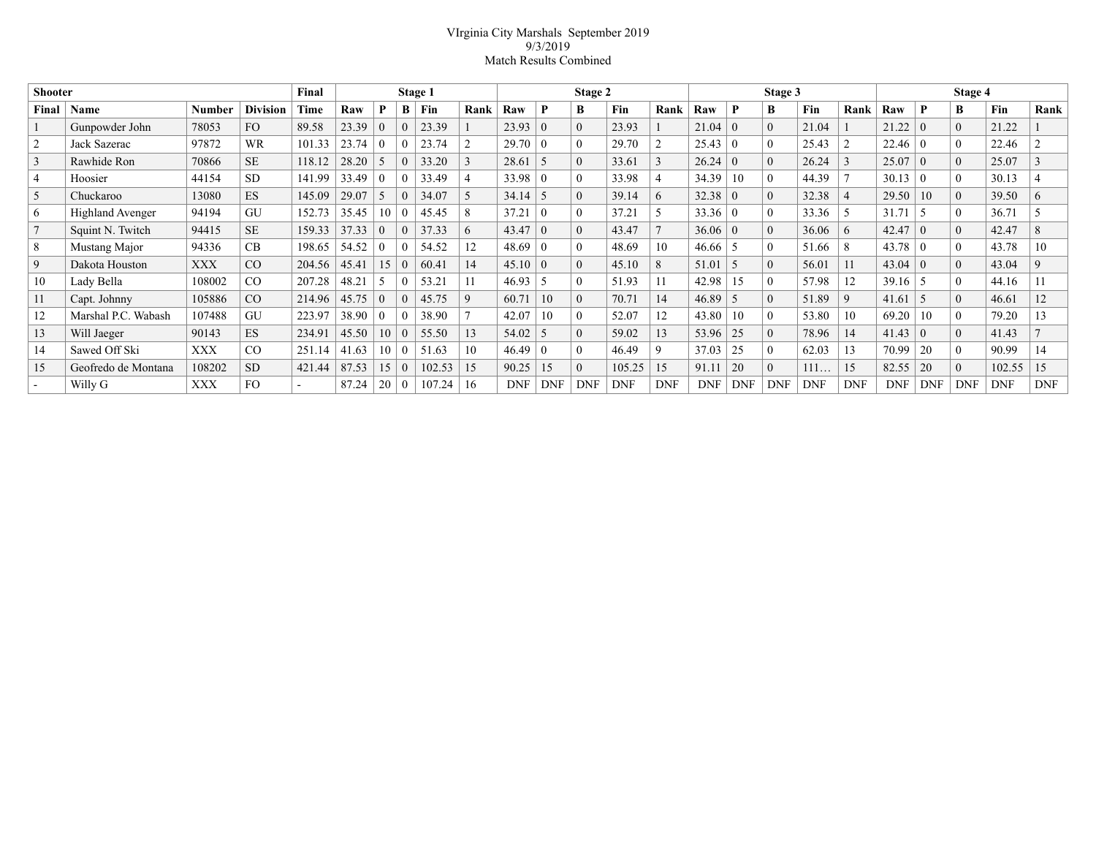## VIrginia City Marshals September 2019 9/3/2019 Match Results Combined

| <b>Shooter</b> |                         |            |                 | Final          | Stage 1 |                |          |        | Stage 2     |            |              |              | Stage 3    |            |                |                | Stage 4    |            |            |            |                |            |            |             |
|----------------|-------------------------|------------|-----------------|----------------|---------|----------------|----------|--------|-------------|------------|--------------|--------------|------------|------------|----------------|----------------|------------|------------|------------|------------|----------------|------------|------------|-------------|
| Final          | Name                    | Number     | <b>Division</b> | Time           | Raw     | P              | B        | Fin    | Rank        | Raw        | P            | B            | Fin        | Rank       | Raw            | P              | B          | Fin        | Rank       | Raw        | P              | B          | Fin        | Rank        |
|                | Gunpowder John          | 78053      | FO              | 89.58          | 23.39   | $\theta$       | $\Omega$ | 23.39  |             | 23.93      | $\Omega$     | $\theta$     | 23.93      |            | $21.04 \mid 0$ |                | $\theta$   | 21.04      |            | 21.22      | $\Omega$       | $\theta$   | 21.22      |             |
| $\overline{2}$ | Jack Sazerac            | 97872      | <b>WR</b>       | 101.33         | 23.74   | $\theta$       |          | 23.74  |             | 29.70      | $\theta$     | $\theta$     | 29.70      |            | 25.43          | $\overline{0}$ | $\Omega$   | 25.43      |            | 22.46      | $\theta$       | $\Omega$   | 22.46      |             |
| 3              | Rawhide Ron             | 70866      | <b>SE</b>       | 118.12         | 28.20   |                | $\Omega$ | 33.20  |             | 28.61      | 5            | $\theta$     | 33.61      |            | 26.24          | $\overline{0}$ | $\Omega$   | 26.24      |            | 25.07      | $\theta$       | $\Omega$   | 25.07      |             |
| $\overline{4}$ | Hoosier                 | 44154      | <b>SD</b>       | 141.99         | 33.49   | $\theta$       | $\Omega$ | 33.49  |             | 33.98      | $\theta$     | $\theta$     | 33.98      | 4          | 34.39          | 10             | $\theta$   | 44.39      |            | 30.13      | $\Omega$       |            | 30.13      |             |
| 5              | Chuckaroo               | 13080      | <b>ES</b>       | 145.09         | 29.07   |                | $\Omega$ | 34.07  |             | 34.14      | 5            | $\Omega$     | 39.14      | 6          | 32.38          | $\Omega$       | $\Omega$   | 32.38      |            | 29.50      | 10             | $\theta$   | 39.50      | 6           |
| 6              | <b>Highland Avenger</b> | 94194      | GU              | 152.73         | 35.45   | 10             | $\Omega$ | 45.45  |             | 37.21      | $\theta$     | $\Omega$     | 37.21      |            | $33.36 \mid 0$ |                | $\Omega$   | 33.36      |            | 31.71      |                |            | 36.71      |             |
| 7              | Squint N. Twitch        | 94415      | <b>SE</b>       | 159.33         | 37.33   | $\theta$       | $\Omega$ | 37.33  | 6           | 43.47      | $\theta$     | $\theta$     | 43.47      |            | $36.06 \mid 0$ |                | $\Omega$   | 36.06      | 6          | 42.47      | $\Omega$       | $\Omega$   | 42.47      | 8           |
| 8              | Mustang Major           | 94336      | CB              | 198.65         | 54.52   | $\left($       | $\Omega$ | 54.52  | 12          | 48.69      | $\theta$     | $\Omega$     | 48.69      | 10         | 46.66          | .5             | $\Omega$   | 51.66      |            | 43.78      | ∣ 0            |            | 43.78      | 10          |
| 9              | Dakota Houston          | <b>XXX</b> | CO              | 204.56         | 45.41   | 15             | $\theta$ | 60.41  | 14          | 45.10      | $\theta$     | $\theta$     | 45.10      | 8          | 51.01          | .5             | $\Omega$   | 56.01      |            | 43.04      | $\overline{0}$ | $\Omega$   | 43.04      | $\mathbf Q$ |
| 10             | Lady Bella              | 108002     | CO              | 207.28         | 48.21   |                | $\Omega$ | 53.21  | 11          | 46.93      | 5            | $\theta$     | 51.93      | 11         | 42.98          | 15             | $\Omega$   | 57.98      | 12         | 39.16      | $\sim$         |            | 44.16      | 11          |
| 11             | Capt. Johnny            | 105886     | CO              | 214.96         | 45.75   | $\overline{0}$ | $\theta$ | 45.75  | $\mathbf Q$ | 60.71      | 10           | $\mathbf{0}$ | 70.71      | 14         | $46.89$ 5      |                | $\Omega$   | 51.89      | 9          | 41.61      | 5              | $\theta$   | 46.61      | 12          |
| 12             | Marshal P.C. Wabash     | 107488     | GU              | 223.97         | 38.90   | $\theta$       | $\Omega$ | 38.90  |             | 42.07      | 10           |              | 52.07      | 12         | 43.80          | 10             | $\Omega$   | 53.80      | 10         | 69.20      | 10             |            | 79.20      | 13          |
| 13             | Will Jaeger             | 90143      | <b>ES</b>       | 234.91         | 45.50   | 10             | $\Omega$ | 55.50  | 13          | 54.02      | 5            | $\theta$     | 59.02      | 13         | 53.96          | 25             | $\theta$   | 78.96      | 14         | 41.43      | $\theta$       | $\theta$   | 41.43      |             |
| 14             | Sawed Off Ski           | XXX        | CO              | 251.14         | 41.63   | 10             | $\Omega$ | 51.63  | 10          | 46.49      | $\mathbf{0}$ | $\Omega$     | 46.49      | 9          | 37.03          | 25             | $\theta$   | 62.03      | 13         | 70.99      | 20             |            | 90.99      | 14          |
| 15             | Geofredo de Montana     | 108202     | <b>SD</b>       | 421.44         | 87.53   |                | $\theta$ | 102.53 | 15          | 90.25      | 15           | $\Omega$     | 105.25     | 15         | 91.11          | 20             | $\theta$   | 111        | 15         | 82.55      | 20             | $\Omega$   | 102.55     | 15          |
| $\sim$         | Willy G                 | XXX        | <b>FO</b>       | $\blacksquare$ | 87.24   | 20             | $\Omega$ | 107.24 | 16          | <b>DNF</b> | <b>DNF</b>   | <b>DNF</b>   | <b>DNF</b> | <b>DNF</b> | <b>DNF</b>     | <b>DNF</b>     | <b>DNF</b> | <b>DNF</b> | <b>DNF</b> | <b>DNF</b> | <b>DNF</b>     | <b>DNF</b> | <b>DNF</b> | <b>DNF</b>  |